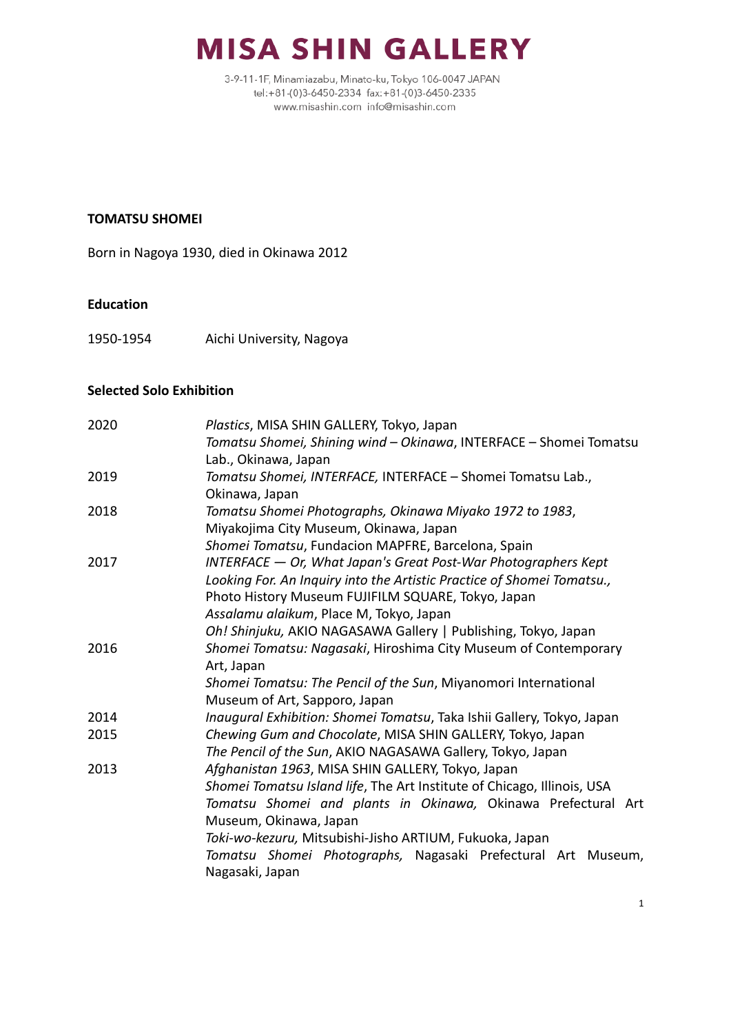

3-9-11-1F, Minamiazabu, Minato-ku, Tokyo 106-0047 JAPAN tel:+81-(0)3-6450-2334 fax:+81-(0)3-6450-2335 www.misashin.com info@misashin.com

#### **TOMATSU SHOMEI**

Born in Nagoya 1930, died in Okinawa 2012

#### **Education**

1950-1954 Aichi University, Nagoya

#### **Selected Solo Exhibition**

| 2020 | Plastics, MISA SHIN GALLERY, Tokyo, Japan                                                                                    |
|------|------------------------------------------------------------------------------------------------------------------------------|
|      | Tomatsu Shomei, Shining wind - Okinawa, INTERFACE - Shomei Tomatsu<br>Lab., Okinawa, Japan                                   |
| 2019 | Tomatsu Shomei, INTERFACE, INTERFACE - Shomei Tomatsu Lab.,<br>Okinawa, Japan                                                |
| 2018 | Tomatsu Shomei Photographs, Okinawa Miyako 1972 to 1983,<br>Miyakojima City Museum, Okinawa, Japan                           |
|      | Shomei Tomatsu, Fundacion MAPFRE, Barcelona, Spain                                                                           |
| 2017 | $INTERFACE - Or$ , What Japan's Great Post-War Photographers Kept                                                            |
|      | Looking For. An Inquiry into the Artistic Practice of Shomei Tomatsu.,<br>Photo History Museum FUJIFILM SQUARE, Tokyo, Japan |
|      | Assalamu alaikum, Place M, Tokyo, Japan                                                                                      |
|      | Oh! Shinjuku, AKIO NAGASAWA Gallery   Publishing, Tokyo, Japan                                                               |
| 2016 | Shomei Tomatsu: Nagasaki, Hiroshima City Museum of Contemporary<br>Art, Japan                                                |
|      | Shomei Tomatsu: The Pencil of the Sun, Miyanomori International<br>Museum of Art, Sapporo, Japan                             |
| 2014 | Inaugural Exhibition: Shomei Tomatsu, Taka Ishii Gallery, Tokyo, Japan                                                       |
| 2015 | Chewing Gum and Chocolate, MISA SHIN GALLERY, Tokyo, Japan<br>The Pencil of the Sun, AKIO NAGASAWA Gallery, Tokyo, Japan     |
| 2013 | Afghanistan 1963, MISA SHIN GALLERY, Tokyo, Japan                                                                            |
|      | Shomei Tomatsu Island life, The Art Institute of Chicago, Illinois, USA                                                      |
|      | Tomatsu Shomei and plants in Okinawa, Okinawa Prefectural Art                                                                |
|      | Museum, Okinawa, Japan                                                                                                       |
|      | Toki-wo-kezuru, Mitsubishi-Jisho ARTIUM, Fukuoka, Japan                                                                      |
|      | Tomatsu Shomei Photographs, Nagasaki Prefectural Art Museum,<br>Nagasaki, Japan                                              |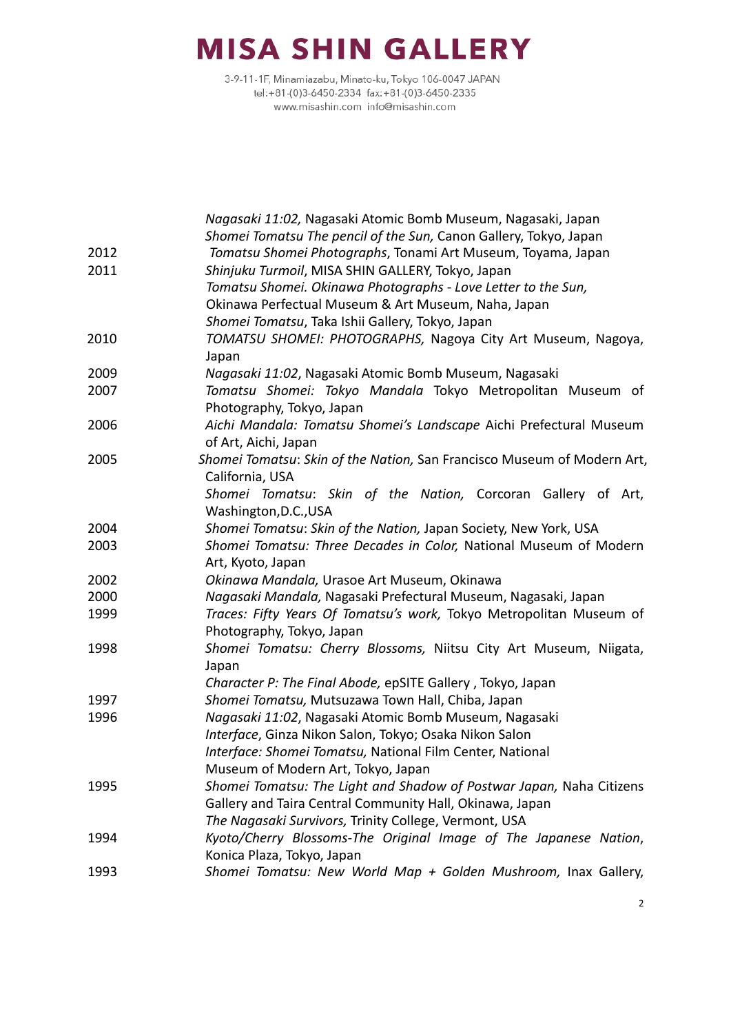|      | Nagasaki 11:02, Nagasaki Atomic Bomb Museum, Nagasaki, Japan            |
|------|-------------------------------------------------------------------------|
|      | Shomei Tomatsu The pencil of the Sun, Canon Gallery, Tokyo, Japan       |
| 2012 | Tomatsu Shomei Photographs, Tonami Art Museum, Toyama, Japan            |
| 2011 | Shinjuku Turmoil, MISA SHIN GALLERY, Tokyo, Japan                       |
|      | Tomatsu Shomei. Okinawa Photographs - Love Letter to the Sun,           |
|      | Okinawa Perfectual Museum & Art Museum, Naha, Japan                     |
|      | Shomei Tomatsu, Taka Ishii Gallery, Tokyo, Japan                        |
| 2010 | TOMATSU SHOMEI: PHOTOGRAPHS, Nagoya City Art Museum, Nagoya,            |
|      | Japan                                                                   |
| 2009 | Nagasaki 11:02, Nagasaki Atomic Bomb Museum, Nagasaki                   |
| 2007 | Tomatsu Shomei: Tokyo Mandala Tokyo Metropolitan Museum of              |
|      | Photography, Tokyo, Japan                                               |
| 2006 | Aichi Mandala: Tomatsu Shomei's Landscape Aichi Prefectural Museum      |
|      | of Art, Aichi, Japan                                                    |
| 2005 | Shomei Tomatsu: Skin of the Nation, San Francisco Museum of Modern Art, |
|      | California, USA                                                         |
|      | Shomei Tomatsu: Skin of the Nation, Corcoran Gallery of Art,            |
|      | Washington, D.C., USA                                                   |
| 2004 | Shomei Tomatsu: Skin of the Nation, Japan Society, New York, USA        |
| 2003 | Shomei Tomatsu: Three Decades in Color, National Museum of Modern       |
|      | Art, Kyoto, Japan                                                       |
| 2002 | Okinawa Mandala, Urasoe Art Museum, Okinawa                             |
| 2000 | Nagasaki Mandala, Nagasaki Prefectural Museum, Nagasaki, Japan          |
| 1999 | Traces: Fifty Years Of Tomatsu's work, Tokyo Metropolitan Museum of     |
|      | Photography, Tokyo, Japan                                               |
| 1998 | Shomei Tomatsu: Cherry Blossoms, Niitsu City Art Museum, Niigata,       |
|      | Japan                                                                   |
|      | Character P: The Final Abode, epSITE Gallery, Tokyo, Japan              |
| 1997 | Shomei Tomatsu, Mutsuzawa Town Hall, Chiba, Japan                       |
| 1996 | Nagasaki 11:02, Nagasaki Atomic Bomb Museum, Nagasaki                   |
|      | Interface, Ginza Nikon Salon, Tokyo; Osaka Nikon Salon                  |
|      | Interface: Shomei Tomatsu, National Film Center, National               |
|      | Museum of Modern Art, Tokyo, Japan                                      |
| 1995 | Shomei Tomatsu: The Light and Shadow of Postwar Japan, Naha Citizens    |
|      | Gallery and Taira Central Community Hall, Okinawa, Japan                |
|      | The Nagasaki Survivors, Trinity College, Vermont, USA                   |
| 1994 | Kyoto/Cherry Blossoms-The Original Image of The Japanese Nation,        |
|      | Konica Plaza, Tokyo, Japan                                              |
| 1993 | Shomei Tomatsu: New World Map + Golden Mushroom, Inax Gallery,          |
|      |                                                                         |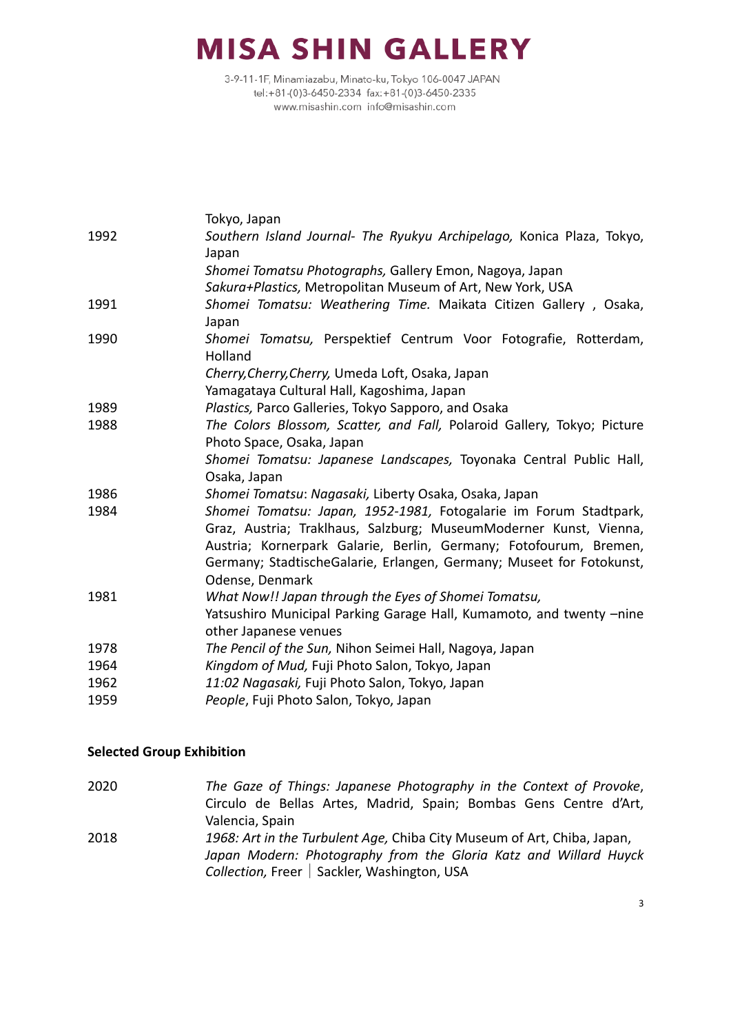3-9-11-1F, Minamiazabu, Minato-ku, Tokyo 106-0047 JAPAN tel:+81-(0)3-6450-2334 fax:+81-(0)3-6450-2335 www.misashin.com info@misashin.com

|      | Tokyo, Japan                                                                   |
|------|--------------------------------------------------------------------------------|
| 1992 | Southern Island Journal- The Ryukyu Archipelago, Konica Plaza, Tokyo,<br>Japan |
|      | Shomei Tomatsu Photographs, Gallery Emon, Nagoya, Japan                        |
|      | Sakura+Plastics, Metropolitan Museum of Art, New York, USA                     |
| 1991 | Shomei Tomatsu: Weathering Time. Maikata Citizen Gallery, Osaka,               |
|      | Japan                                                                          |
| 1990 | Shomei Tomatsu, Perspektief Centrum Voor Fotografie, Rotterdam,<br>Holland     |
|      | Cherry, Cherry, Cherry, Umeda Loft, Osaka, Japan                               |
|      | Yamagataya Cultural Hall, Kagoshima, Japan                                     |
| 1989 | Plastics, Parco Galleries, Tokyo Sapporo, and Osaka                            |
| 1988 | The Colors Blossom, Scatter, and Fall, Polaroid Gallery, Tokyo; Picture        |
|      | Photo Space, Osaka, Japan                                                      |
|      | Shomei Tomatsu: Japanese Landscapes, Toyonaka Central Public Hall,             |
|      | Osaka, Japan                                                                   |
| 1986 | Shomei Tomatsu: Nagasaki, Liberty Osaka, Osaka, Japan                          |
| 1984 | Shomei Tomatsu: Japan, 1952-1981, Fotogalarie im Forum Stadtpark,              |
|      | Graz, Austria; Traklhaus, Salzburg; MuseumModerner Kunst, Vienna,              |
|      | Austria; Kornerpark Galarie, Berlin, Germany; Fotofourum, Bremen,              |
|      | Germany; StadtischeGalarie, Erlangen, Germany; Museet for Fotokunst,           |
|      | Odense, Denmark                                                                |
| 1981 | What Now!! Japan through the Eyes of Shomei Tomatsu,                           |
|      | Yatsushiro Municipal Parking Garage Hall, Kumamoto, and twenty -nine           |
|      | other Japanese venues                                                          |
| 1978 | The Pencil of the Sun, Nihon Seimei Hall, Nagoya, Japan                        |
| 1964 | Kingdom of Mud, Fuji Photo Salon, Tokyo, Japan                                 |
| 1962 | 11:02 Nagasaki, Fuji Photo Salon, Tokyo, Japan                                 |
| 1959 | People, Fuji Photo Salon, Tokyo, Japan                                         |

### **Selected Group Exhibition**

2020 *The Gaze of Things: Japanese Photography in the Context of Provoke*, Circulo de Bellas Artes, Madrid, Spain; Bombas Gens Centre d'Art, Valencia, Spain 2018 *1968: Art in the Turbulent Age,* Chiba City Museum of Art, Chiba, Japan, *Japan Modern: Photography from the Gloria Katz and Willard Huyck Collection,* Freer | Sackler, Washington, USA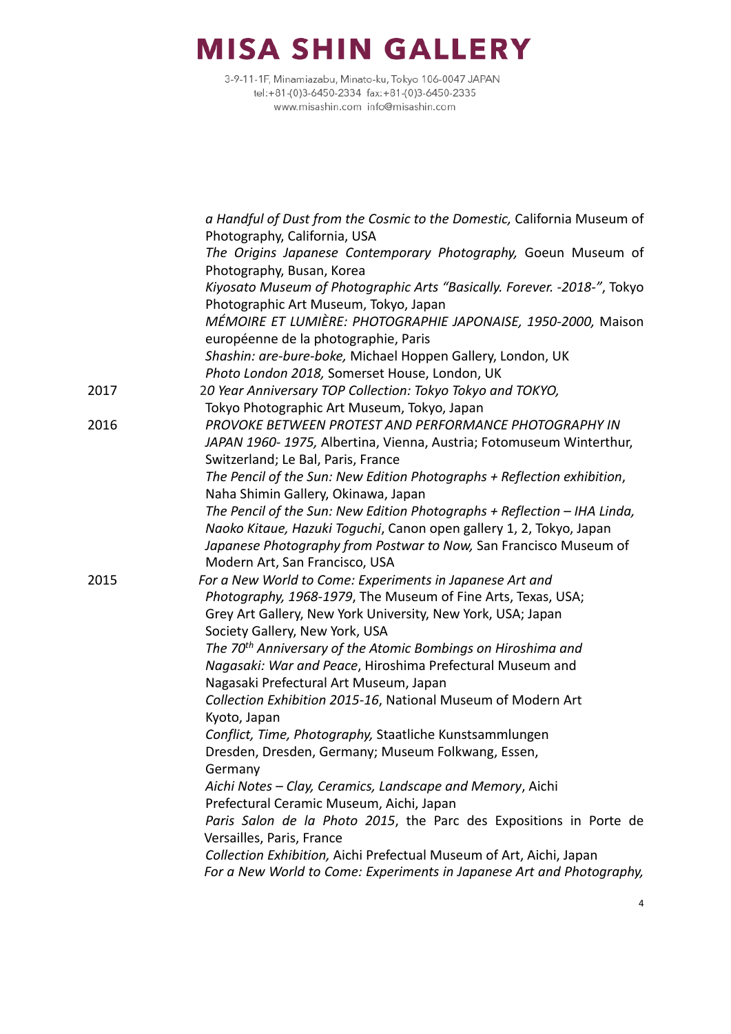|      | a Handful of Dust from the Cosmic to the Domestic, California Museum of<br>Photography, California, USA   |
|------|-----------------------------------------------------------------------------------------------------------|
|      | The Origins Japanese Contemporary Photography, Goeun Museum of                                            |
|      | Photography, Busan, Korea                                                                                 |
|      | Kiyosato Museum of Photographic Arts "Basically. Forever. - 2018-", Tokyo                                 |
|      | Photographic Art Museum, Tokyo, Japan                                                                     |
|      | MÉMOIRE ET LUMIÈRE: PHOTOGRAPHIE JAPONAISE, 1950-2000, Maison                                             |
|      | européenne de la photographie, Paris                                                                      |
|      | Shashin: are-bure-boke, Michael Hoppen Gallery, London, UK                                                |
|      | Photo London 2018, Somerset House, London, UK                                                             |
| 2017 | 20 Year Anniversary TOP Collection: Tokyo Tokyo and TOKYO,                                                |
|      | Tokyo Photographic Art Museum, Tokyo, Japan                                                               |
| 2016 | PROVOKE BETWEEN PROTEST AND PERFORMANCE PHOTOGRAPHY IN                                                    |
|      | JAPAN 1960-1975, Albertina, Vienna, Austria; Fotomuseum Winterthur,<br>Switzerland; Le Bal, Paris, France |
|      | The Pencil of the Sun: New Edition Photographs + Reflection exhibition,                                   |
|      | Naha Shimin Gallery, Okinawa, Japan                                                                       |
|      | The Pencil of the Sun: New Edition Photographs + Reflection - IHA Linda,                                  |
|      | Naoko Kitaue, Hazuki Toguchi, Canon open gallery 1, 2, Tokyo, Japan                                       |
|      | Japanese Photography from Postwar to Now, San Francisco Museum of                                         |
|      | Modern Art, San Francisco, USA                                                                            |
| 2015 | For a New World to Come: Experiments in Japanese Art and                                                  |
|      | Photography, 1968-1979, The Museum of Fine Arts, Texas, USA;                                              |
|      | Grey Art Gallery, New York University, New York, USA; Japan                                               |
|      | Society Gallery, New York, USA                                                                            |
|      | The 70 <sup>th</sup> Anniversary of the Atomic Bombings on Hiroshima and                                  |
|      | Nagasaki: War and Peace, Hiroshima Prefectural Museum and                                                 |
|      | Nagasaki Prefectural Art Museum, Japan                                                                    |
|      | Collection Exhibition 2015-16, National Museum of Modern Art                                              |
|      | Kyoto, Japan                                                                                              |
|      | Conflict, Time, Photography, Staatliche Kunstsammlungen                                                   |
|      | Dresden, Dresden, Germany; Museum Folkwang, Essen,                                                        |
|      | Germany                                                                                                   |
|      | Aichi Notes – Clay, Ceramics, Landscape and Memory, Aichi                                                 |
|      | Prefectural Ceramic Museum, Aichi, Japan                                                                  |
|      | Paris Salon de la Photo 2015, the Parc des Expositions in Porte de<br>Versailles, Paris, France           |
|      | Collection Exhibition, Aichi Prefectual Museum of Art, Aichi, Japan                                       |
|      | For a New World to Come: Experiments in Japanese Art and Photography,                                     |
|      |                                                                                                           |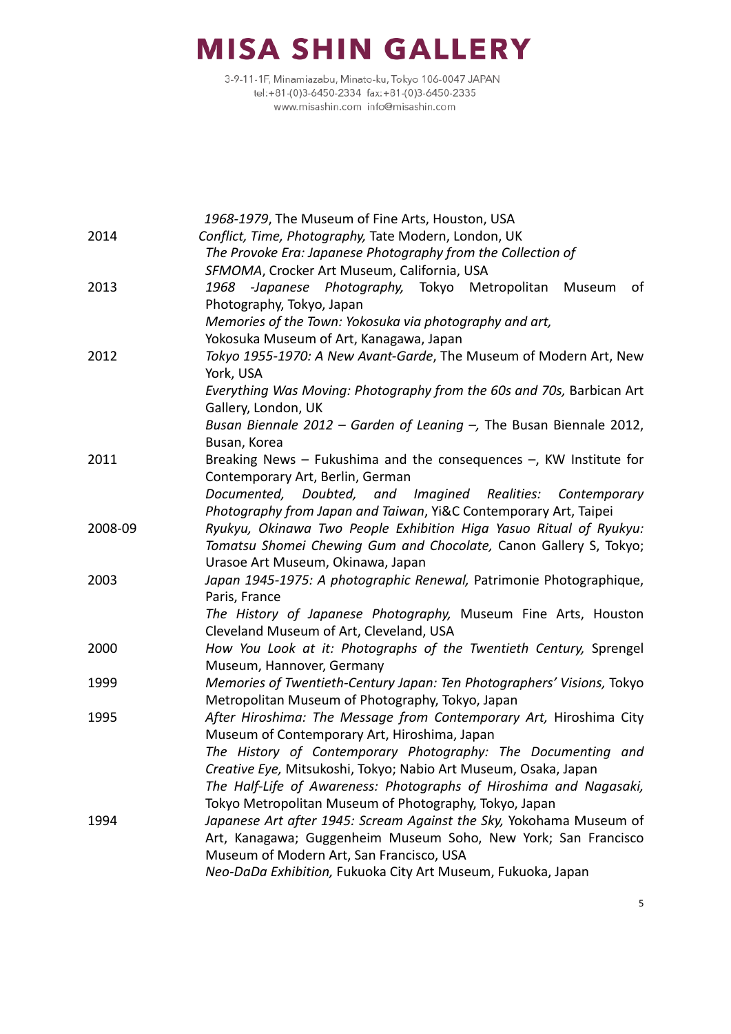|         | 1968-1979, The Museum of Fine Arts, Houston, USA                       |
|---------|------------------------------------------------------------------------|
| 2014    | Conflict, Time, Photography, Tate Modern, London, UK                   |
|         | The Provoke Era: Japanese Photography from the Collection of           |
|         | SFMOMA, Crocker Art Museum, California, USA                            |
| 2013    | 1968 -Japanese Photography, Tokyo Metropolitan<br>Museum<br>of         |
|         | Photography, Tokyo, Japan                                              |
|         | Memories of the Town: Yokosuka via photography and art,                |
|         | Yokosuka Museum of Art, Kanagawa, Japan                                |
| 2012    | Tokyo 1955-1970: A New Avant-Garde, The Museum of Modern Art, New      |
|         | York, USA                                                              |
|         | Everything Was Moving: Photography from the 60s and 70s, Barbican Art  |
|         | Gallery, London, UK                                                    |
|         | Busan Biennale 2012 – Garden of Leaning $-$ , The Busan Biennale 2012, |
|         | Busan, Korea                                                           |
| 2011    | Breaking News - Fukushima and the consequences $-$ , KW Institute for  |
|         | Contemporary Art, Berlin, German                                       |
|         | Documented, Doubted, and Imagined Realities:<br>Contemporary           |
|         | Photography from Japan and Taiwan, Yi&C Contemporary Art, Taipei       |
| 2008-09 | Ryukyu, Okinawa Two People Exhibition Higa Yasuo Ritual of Ryukyu:     |
|         | Tomatsu Shomei Chewing Gum and Chocolate, Canon Gallery S, Tokyo;      |
|         | Urasoe Art Museum, Okinawa, Japan                                      |
| 2003    | Japan 1945-1975: A photographic Renewal, Patrimonie Photographique,    |
|         | Paris, France                                                          |
|         | The History of Japanese Photography, Museum Fine Arts, Houston         |
|         | Cleveland Museum of Art, Cleveland, USA                                |
| 2000    | How You Look at it: Photographs of the Twentieth Century, Sprengel     |
|         | Museum, Hannover, Germany                                              |
| 1999    | Memories of Twentieth-Century Japan: Ten Photographers' Visions, Tokyo |
|         | Metropolitan Museum of Photography, Tokyo, Japan                       |
| 1995    | After Hiroshima: The Message from Contemporary Art, Hiroshima City     |
|         | Museum of Contemporary Art, Hiroshima, Japan                           |
|         | The History of Contemporary Photography: The Documenting and           |
|         | Creative Eye, Mitsukoshi, Tokyo; Nabio Art Museum, Osaka, Japan        |
|         | The Half-Life of Awareness: Photographs of Hiroshima and Nagasaki,     |
|         | Tokyo Metropolitan Museum of Photography, Tokyo, Japan                 |
| 1994    | Japanese Art after 1945: Scream Against the Sky, Yokohama Museum of    |
|         | Art, Kanagawa; Guggenheim Museum Soho, New York; San Francisco         |
|         | Museum of Modern Art, San Francisco, USA                               |
|         | Neo-DaDa Exhibition, Fukuoka City Art Museum, Fukuoka, Japan           |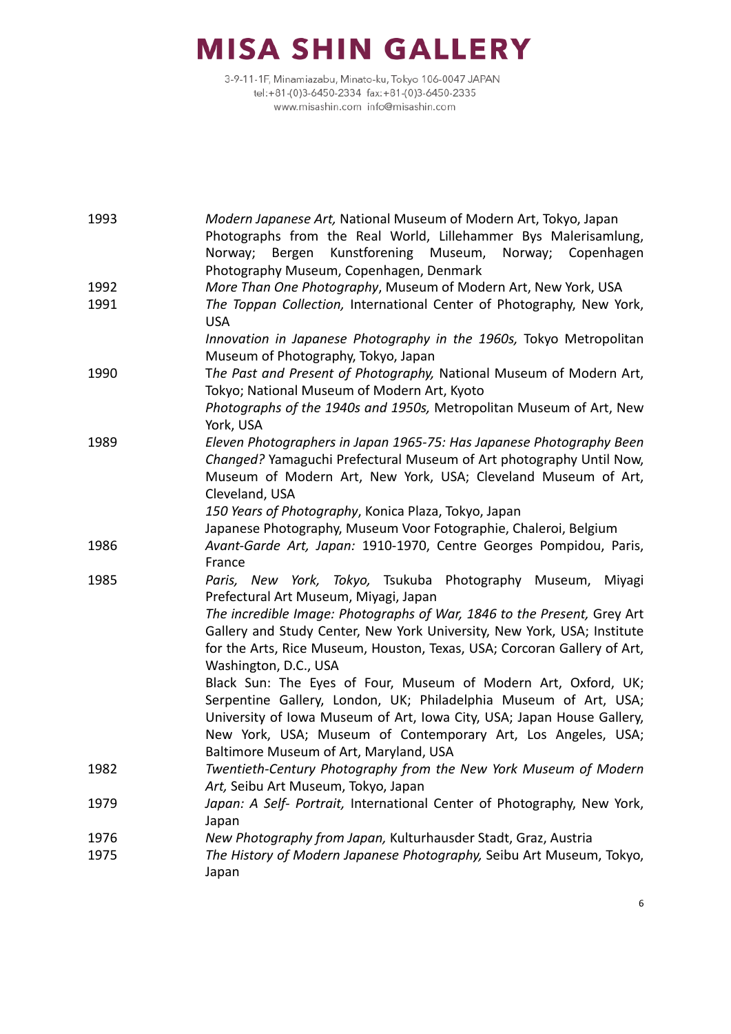| 1993 | Modern Japanese Art, National Museum of Modern Art, Tokyo, Japan<br>Photographs from the Real World, Lillehammer Bys Malerisamlung,<br>Kunstforening Museum,<br>Norway;<br>Bergen<br>Norway; Copenhagen                                                                                                                |
|------|------------------------------------------------------------------------------------------------------------------------------------------------------------------------------------------------------------------------------------------------------------------------------------------------------------------------|
| 1992 | Photography Museum, Copenhagen, Denmark<br>More Than One Photography, Museum of Modern Art, New York, USA                                                                                                                                                                                                              |
|      | The Toppan Collection, International Center of Photography, New York,                                                                                                                                                                                                                                                  |
| 1991 | <b>USA</b>                                                                                                                                                                                                                                                                                                             |
|      | Innovation in Japanese Photography in the 1960s, Tokyo Metropolitan<br>Museum of Photography, Tokyo, Japan                                                                                                                                                                                                             |
|      | The Past and Present of Photography, National Museum of Modern Art,                                                                                                                                                                                                                                                    |
| 1990 | Tokyo; National Museum of Modern Art, Kyoto                                                                                                                                                                                                                                                                            |
|      | Photographs of the 1940s and 1950s, Metropolitan Museum of Art, New                                                                                                                                                                                                                                                    |
|      | York, USA                                                                                                                                                                                                                                                                                                              |
| 1989 | Eleven Photographers in Japan 1965-75: Has Japanese Photography Been<br>Changed? Yamaguchi Prefectural Museum of Art photography Until Now,<br>Museum of Modern Art, New York, USA; Cleveland Museum of Art,                                                                                                           |
|      | Cleveland, USA                                                                                                                                                                                                                                                                                                         |
|      | 150 Years of Photography, Konica Plaza, Tokyo, Japan                                                                                                                                                                                                                                                                   |
|      | Japanese Photography, Museum Voor Fotographie, Chaleroi, Belgium                                                                                                                                                                                                                                                       |
| 1986 | Avant-Garde Art, Japan: 1910-1970, Centre Georges Pompidou, Paris,<br>France                                                                                                                                                                                                                                           |
| 1985 | Paris, New York, Tokyo, Tsukuba Photography Museum, Miyagi<br>Prefectural Art Museum, Miyagi, Japan                                                                                                                                                                                                                    |
|      | The incredible Image: Photographs of War, 1846 to the Present, Grey Art<br>Gallery and Study Center, New York University, New York, USA; Institute<br>for the Arts, Rice Museum, Houston, Texas, USA; Corcoran Gallery of Art,<br>Washington, D.C., USA                                                                |
|      | Black Sun: The Eyes of Four, Museum of Modern Art, Oxford, UK;<br>Serpentine Gallery, London, UK; Philadelphia Museum of Art, USA;<br>University of Iowa Museum of Art, Iowa City, USA; Japan House Gallery,<br>New York, USA; Museum of Contemporary Art, Los Angeles, USA;<br>Baltimore Museum of Art, Maryland, USA |
| 1982 | Twentieth-Century Photography from the New York Museum of Modern<br>Art, Seibu Art Museum, Tokyo, Japan                                                                                                                                                                                                                |
| 1979 | Japan: A Self- Portrait, International Center of Photography, New York,<br>Japan                                                                                                                                                                                                                                       |
| 1976 | New Photography from Japan, Kulturhausder Stadt, Graz, Austria                                                                                                                                                                                                                                                         |
| 1975 | The History of Modern Japanese Photography, Seibu Art Museum, Tokyo,<br>Japan                                                                                                                                                                                                                                          |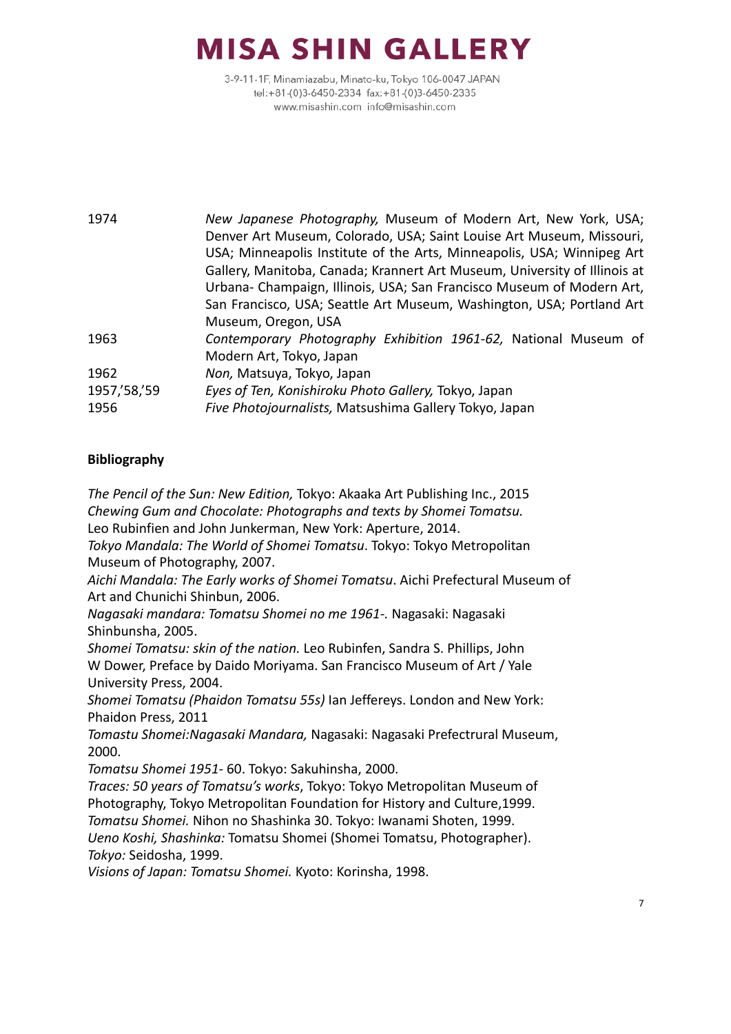3-9-11-1F, Minamiazabu, Minato-ku, Tokyo 106-0047 JAPAN tel:+81-(0)3-6450-2334 fax:+81-(0)3-6450-2335 www.misashin.com info@misashin.com

1974 *New Japanese Photography,* Museum of Modern Art, New York, USA; Denver Art Museum, Colorado, USA; Saint Louise Art Museum, Missouri, USA; Minneapolis Institute of the Arts, Minneapolis, USA; Winnipeg Art Gallery, Manitoba, Canada; Krannert Art Museum, University of Illinois at Urbana- Champaign, Illinois, USA; San Francisco Museum of Modern Art, San Francisco, USA; Seattle Art Museum, Washington, USA; Portland Art Museum, Oregon, USA 1963 *Contemporary Photography Exhibition 1961-62,* National Museum of Modern Art, Tokyo, Japan 1962 *Non,* Matsuya, Tokyo, Japan 1957,'58,'59 *Eyes of Ten, Konishiroku Photo Gallery,* Tokyo, Japan 1956 *Five Photojournalists,* Matsushima Gallery Tokyo, Japan

### **Bibliography**

*The Pencil of the Sun: New Edition,* Tokyo: Akaaka Art Publishing Inc., 2015 *Chewing Gum and Chocolate: Photographs and texts by Shomei Tomatsu.* Leo Rubinfien and John Junkerman, New York: Aperture, 2014. *Tokyo Mandala: The World of Shomei Tomatsu*. Tokyo: Tokyo Metropolitan Museum of Photography, 2007. *Aichi Mandala: The Early works of Shomei Tomatsu*. Aichi Prefectural Museum of Art and Chunichi Shinbun, 2006. *Nagasaki mandara: Tomatsu Shomei no me 1961-.* Nagasaki: Nagasaki Shinbunsha, 2005. *Shomei Tomatsu: skin of the nation.* Leo Rubinfen, Sandra S. Phillips, John W Dower, Preface by Daido Moriyama. San Francisco Museum of Art / Yale University Press, 2004. *Shomei Tomatsu (Phaidon Tomatsu 55s)* Ian Jeffereys. London and New York: Phaidon Press, 2011 *Tomastu Shomei:Nagasaki Mandara,* Nagasaki: Nagasaki Prefectrural Museum, 2000. *Tomatsu Shomei 1951-* 60. Tokyo: Sakuhinsha, 2000. *Traces: 50 years of Tomatsu's works*, Tokyo: Tokyo Metropolitan Museum of Photography, Tokyo Metropolitan Foundation for History and Culture,1999. *Tomatsu Shomei.* Nihon no Shashinka 30. Tokyo: Iwanami Shoten, 1999. *Ueno Koshi, Shashinka:* Tomatsu Shomei (Shomei Tomatsu, Photographer).

*Tokyo:* Seidosha, 1999.

*Visions of Japan: Tomatsu Shomei.* Kyoto: Korinsha, 1998.